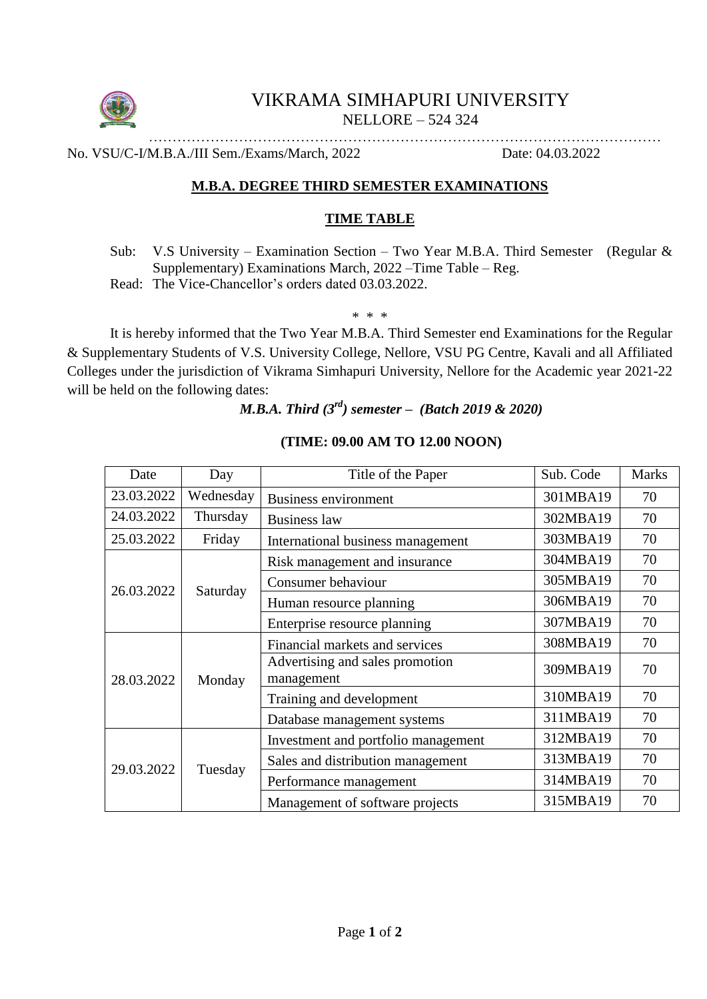

# VIKRAMA SIMHAPURI UNIVERSITY NELLORE – 524 324

……………………………………………………………………………………………… No. VSU/C-I/M.B.A./III Sem./Exams/March, 2022 Date: 04.03.2022

## **M.B.A. DEGREE THIRD SEMESTER EXAMINATIONS**

## **TIME TABLE**

Sub: V.S University – Examination Section – Two Year M.B.A. Third Semester (Regular & Supplementary) Examinations March, 2022 –Time Table – Reg.

Read: The Vice-Chancellor's orders dated 03.03.2022.

\* \* \*

It is hereby informed that the Two Year M.B.A. Third Semester end Examinations for the Regular & Supplementary Students of V.S. University College, Nellore, VSU PG Centre, Kavali and all Affiliated Colleges under the jurisdiction of Vikrama Simhapuri University, Nellore for the Academic year 2021-22 will be held on the following dates:

# *M.B.A. Third (3rd) semester – (Batch 2019 & 2020)*

| Date       | Day       | Title of the Paper                            | Sub. Code | <b>Marks</b> |
|------------|-----------|-----------------------------------------------|-----------|--------------|
| 23.03.2022 | Wednesday | <b>Business environment</b>                   | 301MBA19  | 70           |
| 24.03.2022 | Thursday  | <b>Business law</b>                           | 302MBA19  | 70           |
| 25.03.2022 | Friday    | International business management             | 303MBA19  | 70           |
| 26.03.2022 | Saturday  | Risk management and insurance                 | 304MBA19  | 70           |
|            |           | Consumer behaviour                            | 305MBA19  | 70           |
|            |           | Human resource planning                       | 306MBA19  | 70           |
|            |           | Enterprise resource planning                  | 307MBA19  | 70           |
| 28.03.2022 | Monday    | Financial markets and services                | 308MBA19  | 70           |
|            |           | Advertising and sales promotion<br>management | 309MBA19  | 70           |
|            |           | Training and development                      | 310MBA19  | 70           |
|            |           | Database management systems                   | 311MBA19  | 70           |
| 29.03.2022 | Tuesday   | Investment and portfolio management           | 312MBA19  | 70           |
|            |           | Sales and distribution management             | 313MBA19  | 70           |
|            |           | Performance management                        | 314MBA19  | 70           |
|            |           | Management of software projects               | 315MBA19  | 70           |

#### **(TIME: 09.00 AM TO 12.00 NOON)**